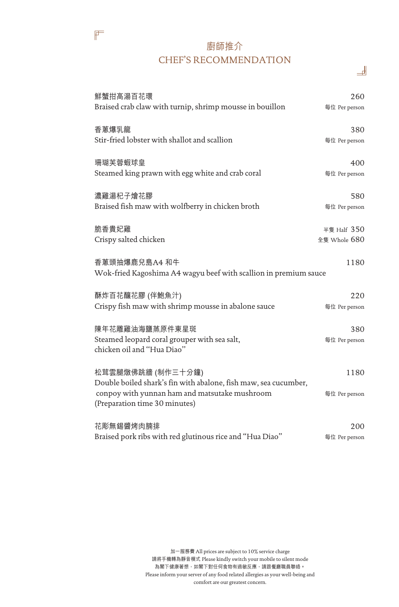#### 廚師推介 CHEF'S RECOMMENDATION

ᅫ

 $\mathbb{F}$ 

| 鮮蟹拑高湯百花環                                                                             | 260           |
|--------------------------------------------------------------------------------------|---------------|
| Braised crab claw with turnip, shrimp mousse in bouillon                             | 每位 Per person |
| 香蔥爆乳龍                                                                                | 380           |
| Stir-fried lobster with shallot and scallion                                         | 每位 Per person |
| 珊瑚芙蓉蝦球皇                                                                              | 400           |
| Steamed king prawn with egg white and crab coral                                     | 每位 Per person |
| 濃雞湯杞子燴花膠                                                                             | 580           |
| Braised fish maw with wolfberry in chicken broth                                     | 每位 Per person |
| 脆香貴妃雞                                                                                | 半隻 Half 350   |
| Crispy salted chicken                                                                | 全隻 Whole 680  |
| 香蔥頭抽爆鹿兒島A4 和牛                                                                        | 1180          |
| Wok-fried Kagoshima A4 wagyu beef with scallion in premium sauce                     |               |
| 酥炸百花釀花膠 (伴鮑魚汁)                                                                       | 220           |
| Crispy fish maw with shrimp mousse in abalone sauce                                  | 每位 Per person |
| 陳年花雕雞油海鹽蒸原件東星斑                                                                       | 380           |
| Steamed leopard coral grouper with sea salt,<br>chicken oil and "Hua Diao"           | 每位 Per person |
|                                                                                      |               |
| 松茸雲腿燉佛跳牆 (制作三十分鐘)<br>Double boiled shark's fin with abalone, fish maw, sea cucumber, | 1180          |
| conpoy with yunnan ham and matsutake mushroom                                        | 每位 Per person |
| (Preparation time 30 minutes)                                                        |               |
| 花彫無錫醬烤肉腩排                                                                            | 200           |
| Braised pork ribs with red glutinous rice and "Hua Diao"                             | 每位 Per person |

加一服務費 All prices are subject to 10% service charge 請將手機轉為靜音模式 Please kindly switch your mobile to silent mode 為閣下健康著想,如閣下對任何食物有過敏反應,請跟餐廳職員聯絡。 Please inform your server of any food related allergies as your well-being and comfort are our greatest concern.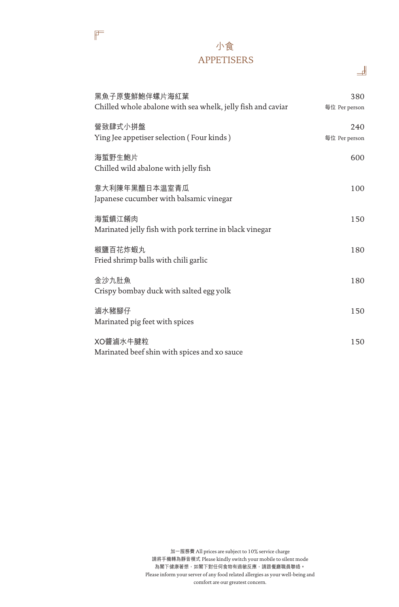#### 小食 APPETISERS

 $\mathbb{F}$ 

| 黑魚子原隻鮮鮑伴螺片海紅葉<br>Chilled whole abalone with sea whelk, jelly fish and caviar | 380<br>每位 Per person |
|------------------------------------------------------------------------------|----------------------|
| 營致肆式小拼盤<br>Ying Jee appetiser selection (Four kinds)                         | 240<br>每位 Per person |
| 海蜇野生鮑片<br>Chilled wild abalone with jelly fish                               | 600                  |
| 意大利陳年黑醋日本温室青瓜<br>Japanese cucumber with balsamic vinegar                     | 100                  |
| 海蜇鎮江餚肉<br>Marinated jelly fish with pork terrine in black vinegar            | 150                  |
| 椒鹽百花炸蝦丸<br>Fried shrimp balls with chili garlic                              | 180                  |
| 金沙九肚魚<br>Crispy bombay duck with salted egg yolk                             | 180                  |
| 滷水豬腳仔<br>Marinated pig feet with spices                                      | 150                  |
| XO醬滷水牛腱粒<br>Marinated beef shin with spices and xo sauce                     | 150                  |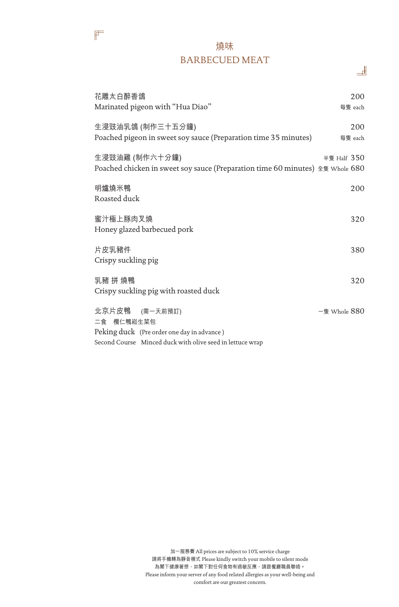#### 燒味 BARBECUED MEAT

 $\mathbb{F}$ 

| 花雕太白醉香鴿<br>Marinated pigeon with "Hua Diao"                                                     | 200<br>每隻 each |
|-------------------------------------------------------------------------------------------------|----------------|
| 生浸豉油乳鴿 (制作三十五分鐘)<br>Poached pigeon in sweet soy sauce (Preparation time 35 minutes)             | 200<br>每隻 each |
| 生浸豉油雞 (制作六十分鐘)<br>Poached chicken in sweet soy sauce (Preparation time 60 minutes) 全隻 Whole 680 | 半隻 Half $350$  |
| 明爐燒米鴨<br>Roasted duck                                                                           | 200            |
| 蜜汁極上豚肉叉燒                                                                                        | 320            |
| Honey glazed barbecued pork<br>片皮乳豬件                                                            | 380            |
| Crispy suckling pig<br>乳豬 拼 燒鴨                                                                  | 320            |
| Crispy suckling pig with roasted duck                                                           |                |
| 北京片皮鴨 (需一天前預訂)<br>二食 欖仁鴨崧生菜包<br>Peking duck (Pre order one day in advance)                      | 一隻 Whole 880   |
| Second Course Minced duck with olive seed in lettuce wrap                                       |                |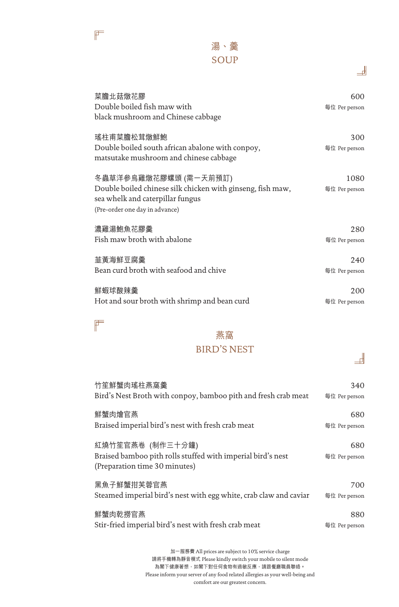

#### 湯、羹 SOUP

| I | I |
|---|---|
|   |   |
|   |   |

| 菜膽北菇燉花膠<br>Double boiled fish maw with<br>black mushroom and Chinese cabbage                                                                              | 600<br>每位 Per person  |
|-----------------------------------------------------------------------------------------------------------------------------------------------------------|-----------------------|
| 瑤柱甫菜膽松茸燉鮮鮑<br>Double boiled south african abalone with conpoy,<br>matsutake mushroom and chinese cabbage                                                  | 300<br>每位 Per person  |
| 冬蟲草洋參烏雞燉花膠螺頭 (需一天前預訂)<br>Double boiled chinese silk chicken with ginseng, fish maw,<br>sea whelk and caterpillar fungus<br>(Pre-order one day in advance) | 1080<br>每位 Per person |
| 濃雞湯鮑魚花膠羹                                                                                                                                                  | 280                   |
| Fish maw broth with abalone                                                                                                                               | 每位 Per person         |
| 韮黃海鮮豆腐羹                                                                                                                                                   | 240                   |
| Bean curd broth with seafood and chive                                                                                                                    | 每位 Per person         |
| 鮮蝦球酸辣羹                                                                                                                                                    | 200                   |
| Hot and sour broth with shrimp and bean curd                                                                                                              | 每位 Per person         |

## $\mathbb{F}$

## 燕窩

#### BIRD'S NEST

| 竹笙鮮蟹肉瑤柱燕窩羹                                                                                                       | 340                  |
|------------------------------------------------------------------------------------------------------------------|----------------------|
| Bird's Nest Broth with conpoy, bamboo pith and fresh crab meat                                                   | 每位 Per person        |
| 鮮蟹肉燴官燕                                                                                                           | 680                  |
| Braised imperial bird's nest with fresh crab meat                                                                | 每位 Per person        |
| 紅燒竹笙官燕卷 (制作三十分鐘)<br>Braised bamboo pith rolls stuffed with imperial bird's nest<br>(Preparation time 30 minutes) | 680<br>每位 Per person |
| 黑魚子鮮蟹拑芙蓉官燕                                                                                                       | 700                  |
| Steamed imperial bird's nest with egg white, crab claw and caviar                                                | 每位 Per person        |
| 鮮蟹肉乾撈官燕                                                                                                          | 880                  |
| Stir-fried imperial bird's nest with fresh crab meat                                                             | 每位 Per person        |

加一服務費 All prices are subject to 10% service charge 請將手機轉為靜音模式 Please kindly switch your mobile to silent mode 為閣下健康著想,如閣下對任何食物有過敏反應,請跟餐廳職員聯絡。 Please inform your server of any food related allergies as your well-being and comfort are our greatest concern.

# $\pm$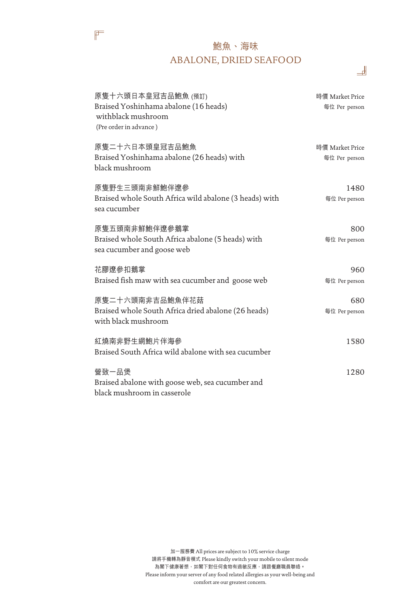### 鮑魚、海味 ABALONE, DRIED SEAFOOD

ᅫ

 $\mathbb{F}$ 

| 原隻十六頭日本皇冠吉品鮑魚 (預訂)<br>Braised Yoshinhama abalone (16 heads)<br>withblack mushroom<br>(Pre order in advance) | 時價 Market Price<br>每位 Per person |
|-------------------------------------------------------------------------------------------------------------|----------------------------------|
| 原隻二十六日本頭皇冠吉品鮑魚<br>Braised Yoshinhama abalone (26 heads) with<br>black mushroom                              | 時價 Market Price<br>每位 Per person |
| 原隻野生三頭南非鮮鮑伴遼參<br>Braised whole South Africa wild abalone (3 heads) with<br>sea cucumber                     | 1480<br>每位 Per person            |
| 原隻五頭南非鮮鮑伴遼參鵝掌<br>Braised whole South Africa abalone (5 heads) with<br>sea cucumber and goose web            | 800<br>每位 Per person             |
| 花膠遼參扣鵝掌<br>Braised fish maw with sea cucumber and goose web                                                 | 960<br>每位 Per person             |
| 原隻二十六頭南非吉品鮑魚伴花菇<br>Braised whole South Africa dried abalone (26 heads)<br>with black mushroom               | 680<br>每位 Per person             |
| 紅燒南非野生網鮑片伴海參<br>Braised South Africa wild abalone with sea cucumber                                         | 1580                             |
| 營致一品煲<br>Braised abalone with goose web, sea cucumber and<br>black mushroom in casserole                    | 1280                             |
|                                                                                                             |                                  |

加一服務費 All prices are subject to 10% service charge 請將手機轉為靜音模式 Please kindly switch your mobile to silent mode 為閣下健康著想,如閣下對任何食物有過敏反應,請跟餐廳職員聯絡。 Please inform your server of any food related allergies as your well-being and comfort are our greatest concern.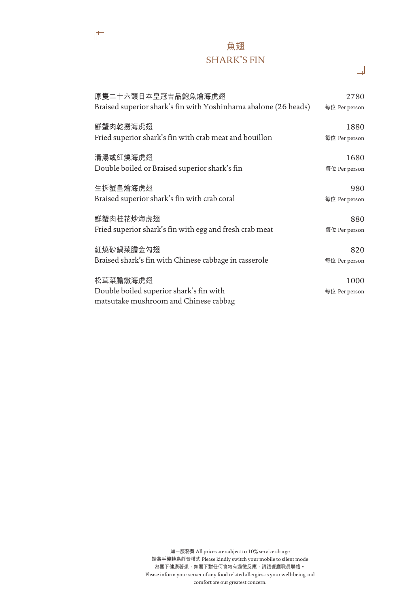#### 魚翅 SHARK'S FIN

 $\mathbb{F}$ 

| 原隻二十六頭日本皇冠吉品鮑魚燴海虎翅                                                                           | 2780                  |
|----------------------------------------------------------------------------------------------|-----------------------|
| Braised superior shark's fin with Yoshinhama abalone (26 heads)                              | 每位 Per person         |
| 鮮蟹肉乾撈海虎翅                                                                                     | 1880                  |
| Fried superior shark's fin with crab meat and bouillon                                       | 每位 Per person         |
| 清湯或紅燒海虎翅                                                                                     | 1680                  |
| Double boiled or Braised superior shark's fin                                                | 每位 Per person         |
| 生拆蟹皇燴海虎翅                                                                                     | 980                   |
| Braised superior shark's fin with crab coral                                                 | 每位 Per person         |
| 鮮蟹肉桂花炒海虎翅                                                                                    | 880                   |
| Fried superior shark's fin with egg and fresh crab meat                                      | 每位 Per person         |
| 紅燒砂鍋菜膽金勾翅                                                                                    | 820                   |
| Braised shark's fin with Chinese cabbage in casserole                                        | 每位 Per person         |
| 松茸菜膽燉海虎翅<br>Double boiled superior shark's fin with<br>matsutake mushroom and Chinese cabbag | 1000<br>每位 Per person |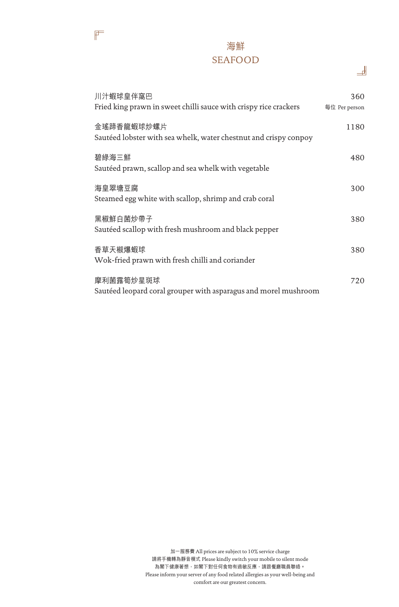#### 海鮮 SEAFOOD

 $\mathbb{F}$ 

| 川汁蝦球皇伴窩巴<br>Fried king prawn in sweet chilli sauce with crispy rice crackers   | 360<br>每位 Per person |
|--------------------------------------------------------------------------------|----------------------|
| 金瑤蹄香龍蝦球炒螺片<br>Sautéed lobster with sea whelk, water chestnut and crispy conpoy | 1180                 |
| 碧綠海三鮮<br>Sautéed prawn, scallop and sea whelk with vegetable                   | 480                  |
| 海皇翠塘豆腐<br>Steamed egg white with scallop, shrimp and crab coral                | 300                  |
| 黑椒鮮白菌炒帶子<br>Sautéed scallop with fresh mushroom and black pepper               | 380                  |
| 香草天椒爆蝦球<br>Wok-fried prawn with fresh chilli and coriander                     | 380                  |
| 摩利菌露筍炒星斑球<br>Sautéed leopard coral grouper with asparagus and morel mushroom   | 720                  |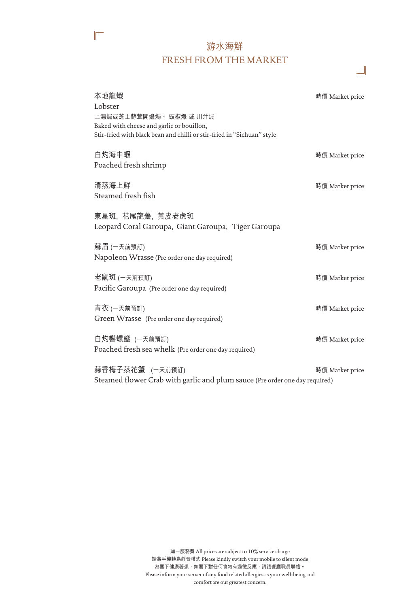#### 游水海鮮 FRESH FROM THE MARKET

 $\mathbb{F}$ 

| 本地龍蝦                                                                                                                                                     | 時價 Market price |
|----------------------------------------------------------------------------------------------------------------------------------------------------------|-----------------|
| Lobster<br>上湯焗或芝士蒜茸開邊焗、 豉椒爆 或 川汁焗<br>Baked with cheese and garlic or bouillon,<br>Stir-fried with black bean and chilli or stir-fried in "Sichuan" style |                 |
| 白灼海中蝦<br>Poached fresh shrimp                                                                                                                            | 時價 Market price |
| 清蒸海上鮮<br>Steamed fresh fish                                                                                                                              | 時價 Market price |
| 東星斑,花尾龍躉,黃皮老虎斑<br>Leopard Coral Garoupa, Giant Garoupa, Tiger Garoupa                                                                                    |                 |
| 蘇眉 (一天前預訂)<br>Napoleon Wrasse (Pre order one day required)                                                                                               | 時價 Market price |
| 老鼠斑 (一天前預訂)<br>Pacific Garoupa (Pre order one day required)                                                                                              | 時價 Market price |
| 青衣 (一天前預訂)<br>Green Wrasse (Pre order one day required)                                                                                                  | 時價 Market price |
| 白灼響螺盞 (一天前預訂)<br>Poached fresh sea whelk (Pre order one day required)                                                                                    | 時價 Market price |
| 蒜香梅子蒸花蟹 (一天前預訂)<br>Steamed flower Crab with garlic and plum sauce (Pre order one day required)                                                           | 時價 Market price |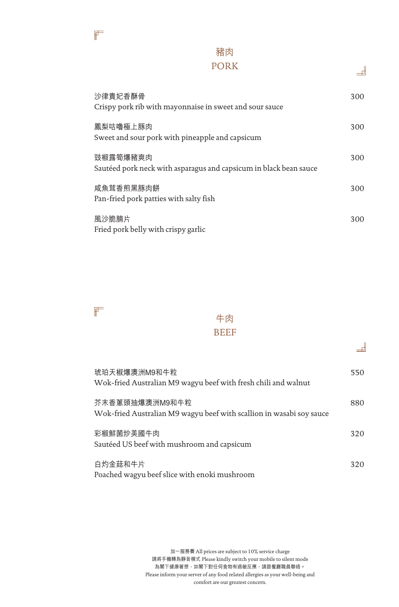#### 豬肉 PORK

ᅫ

ᅫ

| 沙律貴妃香酥骨<br>Crispy pork rib with mayonnaise in sweet and sour sauce            | 300 |
|-------------------------------------------------------------------------------|-----|
| 鳳梨咕嚕極上豚肉<br>Sweet and sour pork with pineapple and capsicum                   | 300 |
| 豉椒露筍爆豬爽肉<br>Sautéed pork neck with asparagus and capsicum in black bean sauce | 300 |
| 咸魚茸香煎黑豚肉餅<br>Pan-fried pork patties with salty fish                           | 300 |
| 風沙脆腩片<br>Fried pork belly with crispy garlic                                  | 300 |



#### 牛肉 BEEF

| 琥珀天椒爆澳洲M9和牛粒<br>Wok-fried Australian M9 wagyu beef with fresh chili and walnut         | 550 |
|----------------------------------------------------------------------------------------|-----|
| 芥末香蔥頭抽爆澳洲M9和牛粒<br>Wok-fried Australian M9 wagyu beef with scallion in wasabi soy sauce | 880 |
| 彩椒鮮菌炒美國牛肉<br>Sautéed US beef with mushroom and capsicum                                | 320 |
| 白灼金菇和牛片<br>Poached wagyu beef slice with enoki mushroom                                | 320 |

加一服務費 All prices are subject to 10% service charge 請將手機轉為靜音模式 Please kindly switch your mobile to silent mode 為閣下健康著想,如閣下對任何食物有過敏反應,請跟餐廳職員聯絡。 Please inform your server of any food related allergies as your well-being and comfort are our greatest concern.

 $\mathbb{F}$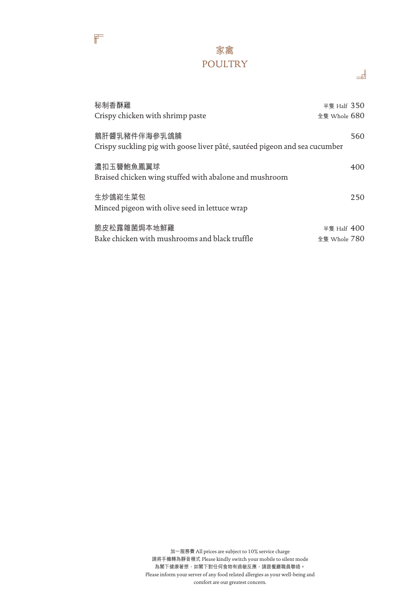

 $\mathbb{F}$ 

| 秘制香酥雞<br>Crispy chicken with shrimp paste                                                  | 半隻 Half $350$<br>全隻 Whole 680 |
|--------------------------------------------------------------------------------------------|-------------------------------|
| 鵝肝醬乳豬件伴海參乳鴿脯<br>Crispy suckling pig with goose liver pâté, sautéed pigeon and sea cucumber | 560                           |
| 濃扣玉簪鮑魚鳳翼球<br>Braised chicken wing stuffed with abalone and mushroom                        | 400                           |
| 生炒鴿崧生菜包<br>Minced pigeon with olive seed in lettuce wrap                                   | 250                           |
| 脆皮松露雜菌焗本地鮮雞<br>Bake chicken with mushrooms and black truffle                               | 半隻 Half $400$<br>全隻 Whole 780 |

ᆁ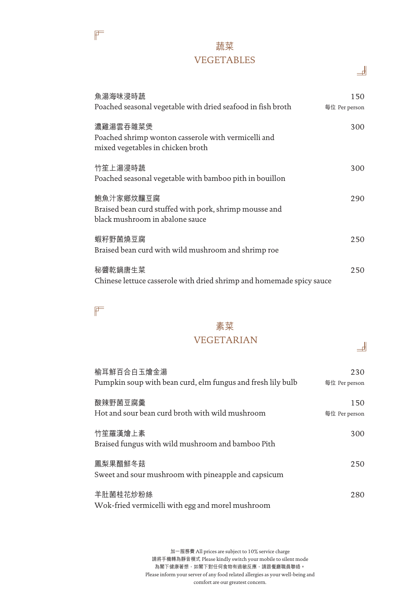#### 蔬菜 VEGETABLES

| 魚湯海味浸時蔬<br>Poached seasonal vegetable with dried seafood in fish broth                                 | 150<br>每位 Per person |
|--------------------------------------------------------------------------------------------------------|----------------------|
| 濃雞湯雲吞雜菜煲<br>Poached shrimp wonton casserole with vermicelli and<br>mixed vegetables in chicken broth   | 300                  |
| 竹笙上湯浸時蔬<br>Poached seasonal vegetable with bamboo pith in bouillon                                     | 300                  |
| 鮑魚汁家鄉炆釀豆腐<br>Braised bean curd stuffed with pork, shrimp mousse and<br>black mushroom in abalone sauce | 290                  |
| 蝦籽野菌燒豆腐<br>Braised bean curd with wild mushroom and shrimp roe                                         | 250                  |
| 秘醬乾鍋唐生菜<br>Chinese lettuce casserole with dried shrimp and homemade spicy sauce                        | 250                  |

### $\mathbb{F}$

 $\mathbb{F}$ 

# 素菜

#### VEGETARIAN

| 榆耳鮮百合白玉燴金湯<br>Pumpkin soup with bean curd, elm fungus and fresh lily bulb | 230<br>每位 Per person |
|---------------------------------------------------------------------------|----------------------|
| 酸辣野菌豆腐羹<br>Hot and sour bean curd broth with wild mushroom                | 150<br>每位 Per person |
| 竹笙羅漢燴上素<br>Braised fungus with wild mushroom and bamboo Pith              | 300                  |
| 鳳梨果醋鮮冬菇<br>Sweet and sour mushroom with pineapple and capsicum            | 250                  |
| 羊肚菌桂花炒粉絲<br>Wok-fried vermicelli with egg and morel mushroom              | 280                  |

加一服務費 All prices are subject to 10% service charge 請將手機轉為靜音模式 Please kindly switch your mobile to silent mode 為閣下健康著想,如閣下對任何食物有過敏反應,請跟餐廳職員聯絡。 Please inform your server of any food related allergies as your well-being and comfort are our greatest concern.

ᅫ